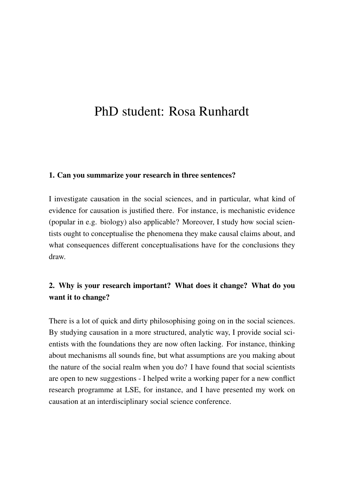# PhD student: Rosa Runhardt

#### 1. Can you summarize your research in three sentences?

I investigate causation in the social sciences, and in particular, what kind of evidence for causation is justified there. For instance, is mechanistic evidence (popular in e.g. biology) also applicable? Moreover, I study how social scientists ought to conceptualise the phenomena they make causal claims about, and what consequences different conceptualisations have for the conclusions they draw.

## 2. Why is your research important? What does it change? What do you want it to change?

There is a lot of quick and dirty philosophising going on in the social sciences. By studying causation in a more structured, analytic way, I provide social scientists with the foundations they are now often lacking. For instance, thinking about mechanisms all sounds fine, but what assumptions are you making about the nature of the social realm when you do? I have found that social scientists are open to new suggestions - I helped write a working paper for a new conflict research programme at LSE, for instance, and I have presented my work on causation at an interdisciplinary social science conference.